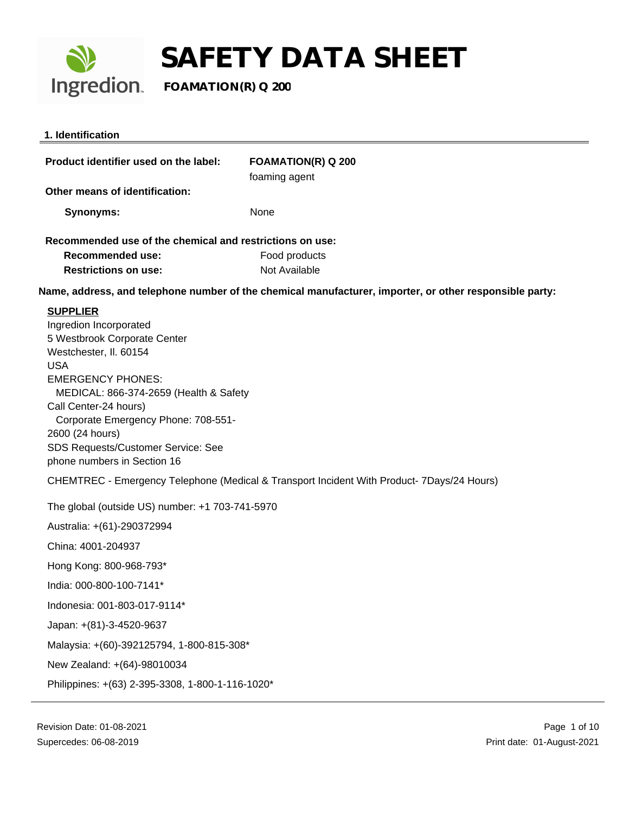

| 1. Identification                                                                          |                                                                                                         |  |
|--------------------------------------------------------------------------------------------|---------------------------------------------------------------------------------------------------------|--|
| Product identifier used on the label:                                                      | <b>FOAMATION(R) Q 200</b><br>foaming agent                                                              |  |
| Other means of identification:                                                             |                                                                                                         |  |
| <b>Synonyms:</b>                                                                           | None                                                                                                    |  |
| Recommended use of the chemical and restrictions on use:                                   |                                                                                                         |  |
| <b>Recommended use:</b>                                                                    | Food products                                                                                           |  |
| <b>Restrictions on use:</b>                                                                | Not Available                                                                                           |  |
|                                                                                            | Name, address, and telephone number of the chemical manufacturer, importer, or other responsible party: |  |
| <b>SUPPLIER</b><br>Ingredion Incorporated                                                  |                                                                                                         |  |
| 5 Westbrook Corporate Center                                                               |                                                                                                         |  |
| Westchester, II. 60154                                                                     |                                                                                                         |  |
| <b>USA</b>                                                                                 |                                                                                                         |  |
| <b>EMERGENCY PHONES:</b><br>MEDICAL: 866-374-2659 (Health & Safety                         |                                                                                                         |  |
| Call Center-24 hours)                                                                      |                                                                                                         |  |
| Corporate Emergency Phone: 708-551-                                                        |                                                                                                         |  |
| 2600 (24 hours)                                                                            |                                                                                                         |  |
| SDS Requests/Customer Service: See<br>phone numbers in Section 16                          |                                                                                                         |  |
| CHEMTREC - Emergency Telephone (Medical & Transport Incident With Product- 7Days/24 Hours) |                                                                                                         |  |
| The global (outside US) number: +1 703-741-5970                                            |                                                                                                         |  |
| Australia: +(61)-290372994                                                                 |                                                                                                         |  |
| China: 4001-204937                                                                         |                                                                                                         |  |
| Hong Kong: 800-968-793*                                                                    |                                                                                                         |  |
| India: 000-800-100-7141*                                                                   |                                                                                                         |  |
| Indonesia: 001-803-017-9114*                                                               |                                                                                                         |  |
| Japan: +(81)-3-4520-9637                                                                   |                                                                                                         |  |
| Malaysia: +(60)-392125794, 1-800-815-308*                                                  |                                                                                                         |  |
| New Zealand: +(64)-98010034                                                                |                                                                                                         |  |
| Philippines: +(63) 2-395-3308, 1-800-1-116-1020*                                           |                                                                                                         |  |
|                                                                                            |                                                                                                         |  |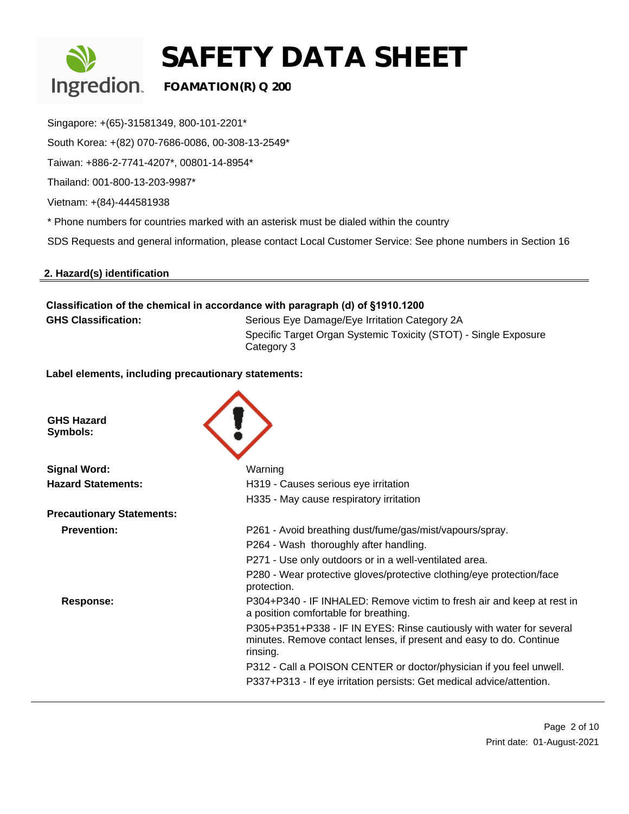

Singapore: +(65)-31581349, 800-101-2201\*

South Korea: +(82) 070-7686-0086, 00-308-13-2549\*

Taiwan: +886-2-7741-4207\*, 00801-14-8954\*

Thailand: 001-800-13-203-9987\*

Vietnam: +(84)-444581938

\* Phone numbers for countries marked with an asterisk must be dialed within the country

SDS Requests and general information, please contact Local Customer Service: See phone numbers in Section 16

#### **2. Hazard(s) identification**

### **Classification of the chemical in accordance with paragraph (d) of §1910.1200** GHS Classification: Serious Eye Damage/Eye Irritation Category 2A Specific Target Organ Systemic Toxicity (STOT) - Single Exposure

Category 3

**Label elements, including precautionary statements:** 

| <b>GHS Hazard</b><br>Symbols:    |                                                                                                                                                         |
|----------------------------------|---------------------------------------------------------------------------------------------------------------------------------------------------------|
| <b>Signal Word:</b>              | Warning                                                                                                                                                 |
| <b>Hazard Statements:</b>        | H319 - Causes serious eye irritation                                                                                                                    |
|                                  | H335 - May cause respiratory irritation                                                                                                                 |
| <b>Precautionary Statements:</b> |                                                                                                                                                         |
| <b>Prevention:</b>               | P261 - Avoid breathing dust/fume/gas/mist/vapours/spray.                                                                                                |
|                                  | P264 - Wash thoroughly after handling.                                                                                                                  |
|                                  | P271 - Use only outdoors or in a well-ventilated area.                                                                                                  |
|                                  | P280 - Wear protective gloves/protective clothing/eye protection/face<br>protection.                                                                    |
| Response:                        | P304+P340 - IF INHALED: Remove victim to fresh air and keep at rest in<br>a position comfortable for breathing.                                         |
|                                  | P305+P351+P338 - IF IN EYES: Rinse cautiously with water for several<br>minutes. Remove contact lenses, if present and easy to do. Continue<br>rinsing. |
|                                  | P312 - Call a POISON CENTER or doctor/physician if you feel unwell.                                                                                     |
|                                  | P337+P313 - If eye irritation persists: Get medical advice/attention.                                                                                   |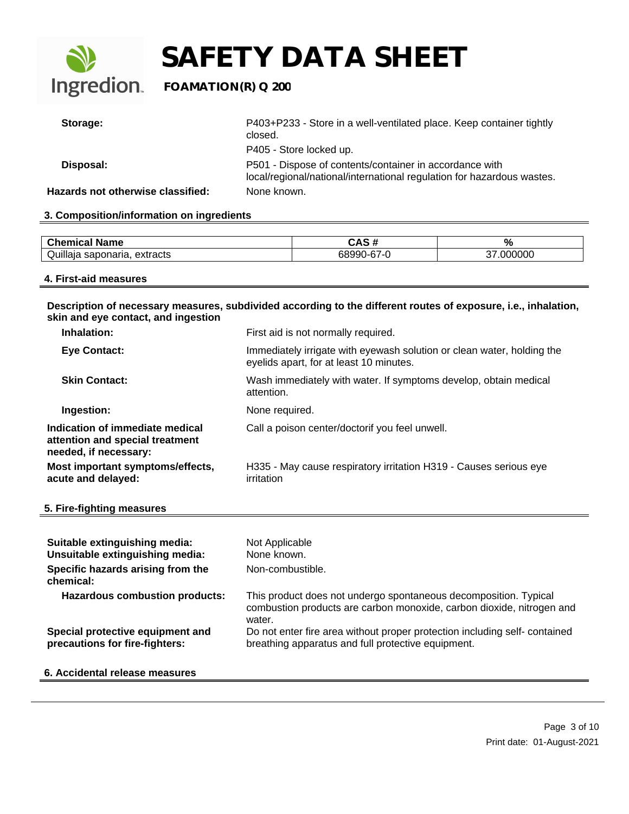

| Storage:                          | P403+P233 - Store in a well-ventilated place. Keep container tightly<br>closed.                                                   |
|-----------------------------------|-----------------------------------------------------------------------------------------------------------------------------------|
|                                   | P405 - Store locked up.                                                                                                           |
| Disposal:                         | P501 - Dispose of contents/container in accordance with<br>local/regional/national/international regulation for hazardous wastes. |
| Hazards not otherwise classified: | None known.                                                                                                                       |

#### **3. Composition/information on ingredients**

| ' Name<br>$\sim$<br>$ -$<br>еннсаг           | <br>$\overline{\phantom{a}}$<br>טרי | $\%$        |
|----------------------------------------------|-------------------------------------|-------------|
| <br>$\sim$<br>extracts<br>-saponana.<br>wull | $\sim$ $\sim$                       | 000<br>' 11 |

#### **4. First-aid measures**

**Description of necessary measures, subdivided according to the different routes of exposure, i.e., inhalation, skin and eye contact, and ingestion**

| Inhalation:                                                                                 | First aid is not normally required.                                                                               |
|---------------------------------------------------------------------------------------------|-------------------------------------------------------------------------------------------------------------------|
| <b>Eye Contact:</b>                                                                         | Immediately irrigate with eyewash solution or clean water, holding the<br>eyelids apart, for at least 10 minutes. |
| <b>Skin Contact:</b>                                                                        | Wash immediately with water. If symptoms develop, obtain medical<br>attention.                                    |
| Ingestion:                                                                                  | None required.                                                                                                    |
| Indication of immediate medical<br>attention and special treatment<br>needed, if necessary: | Call a poison center/doctorif you feel unwell.                                                                    |
| Most important symptoms/effects,<br>acute and delayed:                                      | H335 - May cause respiratory irritation H319 - Causes serious eye<br>irritation                                   |

#### **5. Fire-fighting measures**

| Suitable extinguishing media:<br>Unsuitable extinguishing media:   | Not Applicable<br>None known.                                                                                                                       |
|--------------------------------------------------------------------|-----------------------------------------------------------------------------------------------------------------------------------------------------|
| Specific hazards arising from the<br>chemical:                     | Non-combustible.                                                                                                                                    |
| <b>Hazardous combustion products:</b>                              | This product does not undergo spontaneous decomposition. Typical<br>combustion products are carbon monoxide, carbon dioxide, nitrogen and<br>water. |
| Special protective equipment and<br>precautions for fire-fighters: | Do not enter fire area without proper protection including self-contained<br>breathing apparatus and full protective equipment.                     |
| 6. Accidental release measures                                     |                                                                                                                                                     |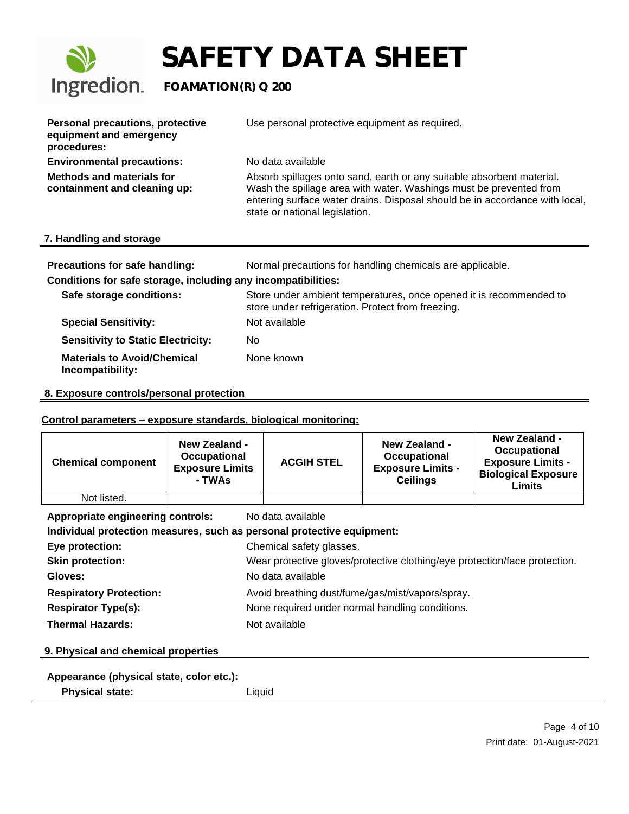

 $\equiv$ 

# **SAFETY DATA SHEET**

| <b>Personal precautions, protective</b><br>equipment and emergency<br>procedures: | Use personal protective equipment as required.                                                                                                                                                                                                               |
|-----------------------------------------------------------------------------------|--------------------------------------------------------------------------------------------------------------------------------------------------------------------------------------------------------------------------------------------------------------|
| <b>Environmental precautions:</b>                                                 | No data available                                                                                                                                                                                                                                            |
| <b>Methods and materials for</b><br>containment and cleaning up:                  | Absorb spillages onto sand, earth or any suitable absorbent material.<br>Wash the spillage area with water. Washings must be prevented from<br>entering surface water drains. Disposal should be in accordance with local,<br>state or national legislation. |
| 7. Handling and storage                                                           |                                                                                                                                                                                                                                                              |
|                                                                                   |                                                                                                                                                                                                                                                              |

#### **Precautions for safe handling:** Normal precautions for handling chemicals are applicable.

### **Conditions for safe storage, including any incompatibilities:**

| Safe storage conditions:                               | Store under ambient temperatures, once opened it is recommended to<br>store under refrigeration. Protect from freezing. |
|--------------------------------------------------------|-------------------------------------------------------------------------------------------------------------------------|
| <b>Special Sensitivity:</b>                            | Not available                                                                                                           |
| <b>Sensitivity to Static Electricity:</b>              | No                                                                                                                      |
| <b>Materials to Avoid/Chemical</b><br>Incompatibility: | None known                                                                                                              |

#### **8. Exposure controls/personal protection**

#### **Control parameters – exposure standards, biological monitoring:**

| <b>Chemical component</b>                                              | <b>New Zealand -</b><br>Occupational<br><b>Exposure Limits</b><br>- TWAs   | <b>ACGIH STEL</b> | <b>New Zealand -</b><br>Occupational<br><b>Exposure Limits -</b><br><b>Ceilings</b> | <b>New Zealand -</b><br>Occupational<br><b>Exposure Limits -</b><br><b>Biological Exposure</b><br><b>Limits</b> |
|------------------------------------------------------------------------|----------------------------------------------------------------------------|-------------------|-------------------------------------------------------------------------------------|-----------------------------------------------------------------------------------------------------------------|
| Not listed.                                                            |                                                                            |                   |                                                                                     |                                                                                                                 |
| Appropriate engineering controls:<br>No data available                 |                                                                            |                   |                                                                                     |                                                                                                                 |
| Individual protection measures, such as personal protective equipment: |                                                                            |                   |                                                                                     |                                                                                                                 |
| Eye protection:                                                        | Chemical safety glasses.                                                   |                   |                                                                                     |                                                                                                                 |
| <b>Skin protection:</b>                                                | Wear protective gloves/protective clothing/eye protection/face protection. |                   |                                                                                     |                                                                                                                 |
| Gloves:                                                                | No data available                                                          |                   |                                                                                     |                                                                                                                 |
| <b>Respiratory Protection:</b>                                         | Avoid breathing dust/fume/gas/mist/vapors/spray.                           |                   |                                                                                     |                                                                                                                 |
| <b>Respirator Type(s):</b>                                             | None required under normal handling conditions.                            |                   |                                                                                     |                                                                                                                 |
| <b>Thermal Hazards:</b>                                                |                                                                            | Not available     |                                                                                     |                                                                                                                 |
| 9. Physical and chemical properties                                    |                                                                            |                   |                                                                                     |                                                                                                                 |

## **Appearance (physical state, color etc.):**

| <b>Physical state:</b> | Liquid |
|------------------------|--------|
|------------------------|--------|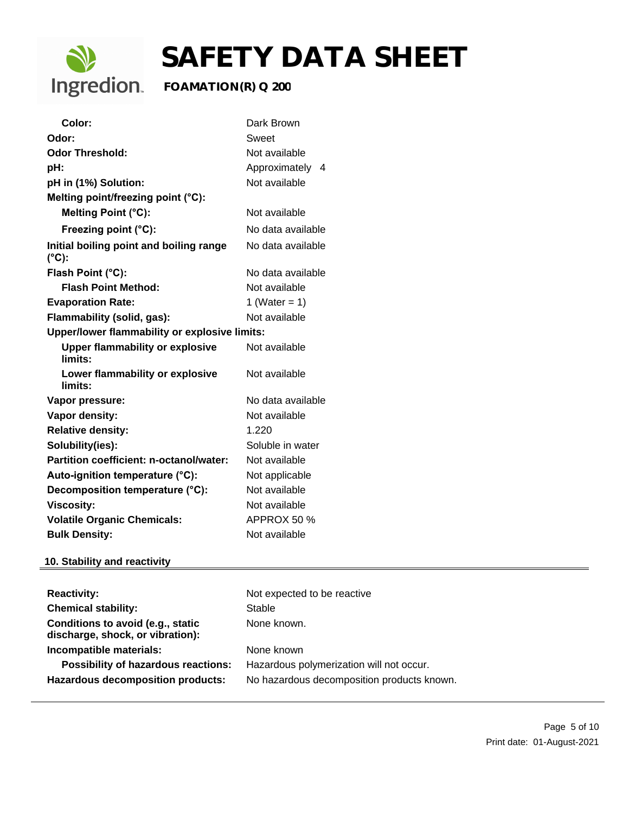

| Color:                                                     | Dark Brown         |  |
|------------------------------------------------------------|--------------------|--|
| Odor:                                                      | Sweet              |  |
| <b>Odor Threshold:</b>                                     | Not available      |  |
| pH:                                                        | Approximately<br>4 |  |
| pH in (1%) Solution:                                       | Not available      |  |
| Melting point/freezing point (°C):                         |                    |  |
| Melting Point (°C):                                        | Not available      |  |
| Freezing point (°C):                                       | No data available  |  |
| Initial boiling point and boiling range<br>$(^{\circ}C)$ : | No data available  |  |
| Flash Point (°C):                                          | No data available  |  |
| <b>Flash Point Method:</b>                                 | Not available      |  |
| <b>Evaporation Rate:</b>                                   | 1 (Water = $1$ )   |  |
| Not available<br>Flammability (solid, gas):                |                    |  |
| Upper/lower flammability or explosive limits:              |                    |  |
| <b>Upper flammability or explosive</b><br>limits:          | Not available      |  |
| Lower flammability or explosive<br>limits:                 | Not available      |  |
| Vapor pressure:                                            | No data available  |  |
| <b>Vapor density:</b>                                      | Not available      |  |
| <b>Relative density:</b>                                   | 1.220              |  |
| Solubility(ies):                                           | Soluble in water   |  |
| Partition coefficient: n-octanol/water:                    | Not available      |  |
| Auto-ignition temperature (°C):                            | Not applicable     |  |
| Decomposition temperature (°C):                            | Not available      |  |
| <b>Viscosity:</b>                                          | Not available      |  |
| <b>Volatile Organic Chemicals:</b>                         | APPROX 50 %        |  |
| <b>Bulk Density:</b>                                       | Not available      |  |

## **10. Stability and reactivity**

| <b>Reactivity:</b><br><b>Chemical stability:</b><br>Conditions to avoid (e.g., static<br>discharge, shock, or vibration): | Not expected to be reactive<br>Stable<br>None known.                                                 |
|---------------------------------------------------------------------------------------------------------------------------|------------------------------------------------------------------------------------------------------|
| Incompatible materials:<br><b>Possibility of hazardous reactions:</b><br><b>Hazardous decomposition products:</b>         | None known<br>Hazardous polymerization will not occur.<br>No hazardous decomposition products known. |
|                                                                                                                           |                                                                                                      |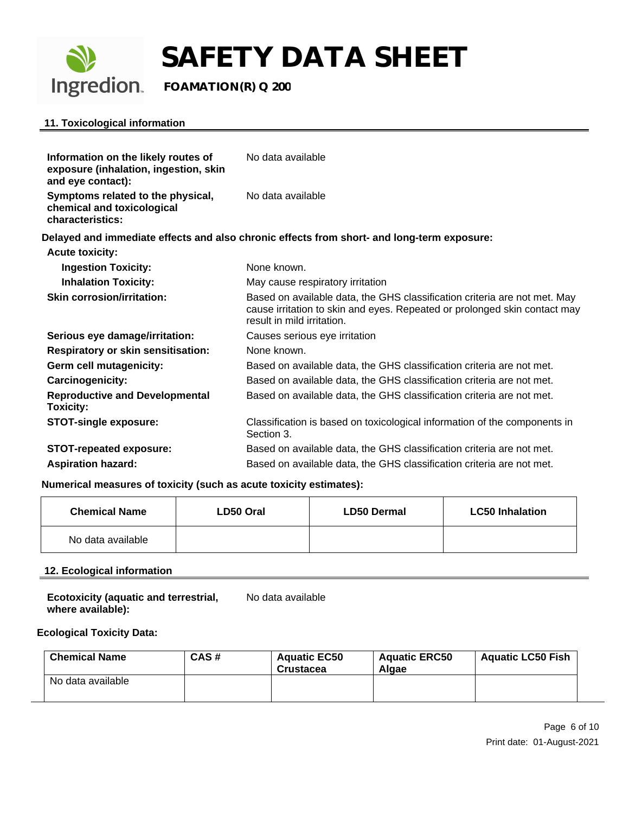

# **SAFETY DATA SHEET**<br>Ingredion. FOAMATION(R) Q 200

## **FOAMATION(R) Q 200**

### **11. Toxicological information**

| Information on the likely routes of<br>exposure (inhalation, ingestion, skin        | No data available                                                                                                                                                                    |
|-------------------------------------------------------------------------------------|--------------------------------------------------------------------------------------------------------------------------------------------------------------------------------------|
| and eye contact):                                                                   |                                                                                                                                                                                      |
| Symptoms related to the physical,<br>chemical and toxicological<br>characteristics: | No data available                                                                                                                                                                    |
|                                                                                     | Delayed and immediate effects and also chronic effects from short- and long-term exposure:                                                                                           |
| <b>Acute toxicity:</b>                                                              |                                                                                                                                                                                      |
| <b>Ingestion Toxicity:</b>                                                          | None known.                                                                                                                                                                          |
| <b>Inhalation Toxicity:</b>                                                         | May cause respiratory irritation                                                                                                                                                     |
| Skin corrosion/irritation:                                                          | Based on available data, the GHS classification criteria are not met. May<br>cause irritation to skin and eyes. Repeated or prolonged skin contact may<br>result in mild irritation. |
| Serious eye damage/irritation:                                                      | Causes serious eye irritation                                                                                                                                                        |
| <b>Respiratory or skin sensitisation:</b>                                           | None known.                                                                                                                                                                          |
| Germ cell mutagenicity:                                                             | Based on available data, the GHS classification criteria are not met.                                                                                                                |
| Carcinogenicity:                                                                    | Based on available data, the GHS classification criteria are not met.                                                                                                                |
| <b>Reproductive and Developmental</b><br><b>Toxicity:</b>                           | Based on available data, the GHS classification criteria are not met.                                                                                                                |
| <b>STOT-single exposure:</b>                                                        | Classification is based on toxicological information of the components in<br>Section 3.                                                                                              |
| <b>STOT-repeated exposure:</b>                                                      | Based on available data, the GHS classification criteria are not met.                                                                                                                |
| <b>Aspiration hazard:</b>                                                           | Based on available data, the GHS classification criteria are not met.                                                                                                                |

#### **Numerical measures of toxicity (such as acute toxicity estimates):**

| <b>Chemical Name</b> | LD50 Oral | <b>LD50 Dermal</b> | <b>LC50 Inhalation</b> |
|----------------------|-----------|--------------------|------------------------|
| No data available    |           |                    |                        |

#### **12. Ecological information**

| <b>Ecotoxicity (aquatic and terrestrial,</b> | No data available |
|----------------------------------------------|-------------------|
| where available):                            |                   |

#### **Ecological Toxicity Data:**

| <b>Chemical Name</b> | CAS# | <b>Aguatic EC50</b><br><b>Crustacea</b> | <b>Aquatic ERC50</b><br>Algae | <b>Aquatic LC50 Fish</b> |
|----------------------|------|-----------------------------------------|-------------------------------|--------------------------|
| No data available    |      |                                         |                               |                          |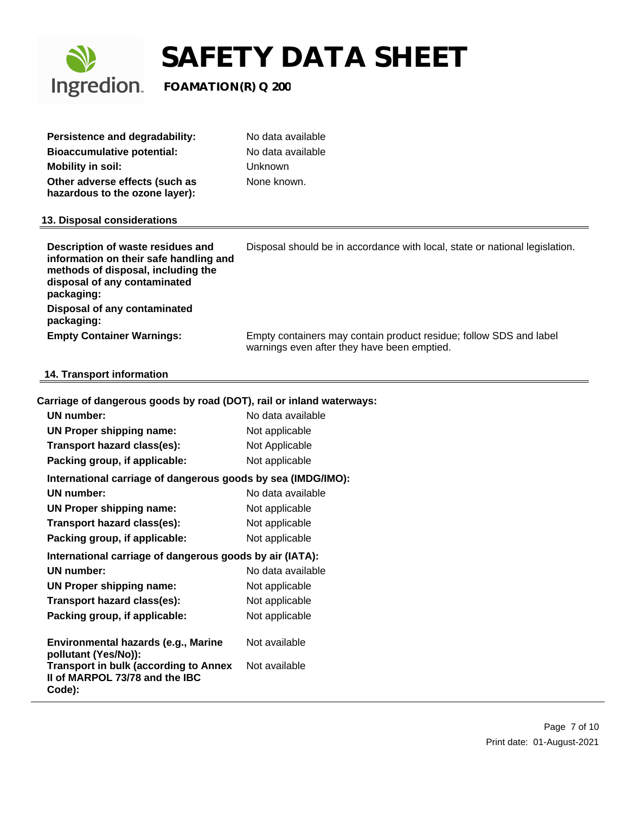

| Persistence and degradability:                                   | No data available |
|------------------------------------------------------------------|-------------------|
| <b>Bioaccumulative potential:</b>                                | No data available |
| <b>Mobility in soil:</b>                                         | Unknown           |
| Other adverse effects (such as<br>hazardous to the ozone layer): | None known.       |

#### **13. Disposal considerations**

| Description of waste residues and<br>information on their safe handling and<br>methods of disposal, including the<br>disposal of any contaminated<br>packaging: | Disposal should be in accordance with local, state or national legislation.                                       |
|-----------------------------------------------------------------------------------------------------------------------------------------------------------------|-------------------------------------------------------------------------------------------------------------------|
| Disposal of any contaminated<br>packaging:                                                                                                                      |                                                                                                                   |
| <b>Empty Container Warnings:</b>                                                                                                                                | Empty containers may contain product residue; follow SDS and label<br>warnings even after they have been emptied. |

#### **14. Transport information**

#### **Carriage of dangerous goods by road (DOT), rail or inland waterways:**

| UN number:                                                                                                                                    | No data available              |
|-----------------------------------------------------------------------------------------------------------------------------------------------|--------------------------------|
| UN Proper shipping name:                                                                                                                      | Not applicable                 |
| Transport hazard class(es):                                                                                                                   | Not Applicable                 |
| Packing group, if applicable:                                                                                                                 | Not applicable                 |
| International carriage of dangerous goods by sea (IMDG/IMO):                                                                                  |                                |
| UN number:                                                                                                                                    | No data available              |
| UN Proper shipping name:                                                                                                                      | Not applicable                 |
| Transport hazard class(es):                                                                                                                   | Not applicable                 |
| Packing group, if applicable:                                                                                                                 | Not applicable                 |
| International carriage of dangerous goods by air (IATA):                                                                                      |                                |
| UN number:                                                                                                                                    | No data available              |
| <b>UN Proper shipping name:</b>                                                                                                               | Not applicable                 |
| Transport hazard class(es):                                                                                                                   | Not applicable                 |
| Packing group, if applicable:                                                                                                                 | Not applicable                 |
| Environmental hazards (e.g., Marine<br>pollutant (Yes/No)):<br><b>Transport in bulk (according to Annex</b><br>II of MARPOL 73/78 and the IBC | Not available<br>Not available |
| Code):                                                                                                                                        |                                |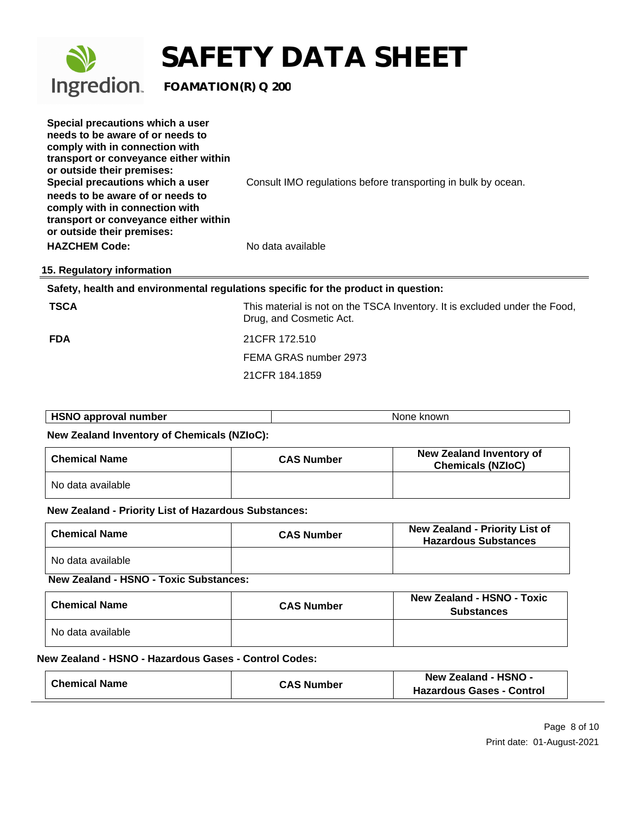

| Special precautions which a user<br>needs to be aware of or needs to<br>comply with in connection with<br>transport or conveyance either within<br>or outside their premises:<br>Special precautions which a user | Consult IMO regulations before transporting in bulk by ocean. |
|-------------------------------------------------------------------------------------------------------------------------------------------------------------------------------------------------------------------|---------------------------------------------------------------|
| needs to be aware of or needs to<br>comply with in connection with<br>transport or conveyance either within<br>or outside their premises:                                                                         |                                                               |
| <b>HAZCHEM Code:</b>                                                                                                                                                                                              | No data available                                             |
| 15. Regulatory information                                                                                                                                                                                        |                                                               |

#### **Safety, health and environmental regulations specific for the product in question:**

**TSCA** THIS material is not on the TSCA Inventory. It is excluded under the Food, Drug, and Cosmetic Act.

**FDA** 21CFR 172.510 FEMA GRAS number 2973 21CFR 184.1859

| <b>HSNO approval number</b> | . knowr<br>None |
|-----------------------------|-----------------|
|                             |                 |

#### **New Zealand Inventory of Chemicals (NZIoC):**

| <b>Chemical Name</b> | <b>CAS Number</b> | New Zealand Inventory of<br><b>Chemicals (NZIoC)</b> |
|----------------------|-------------------|------------------------------------------------------|
| No data available    |                   |                                                      |

#### **New Zealand - Priority List of Hazardous Substances:**

| <b>Chemical Name</b> | <b>CAS Number</b> | <b>New Zealand - Priority List of</b><br><b>Hazardous Substances</b> |
|----------------------|-------------------|----------------------------------------------------------------------|
| No data available    |                   |                                                                      |

#### **New Zealand - HSNO - Toxic Substances:**

| <b>Chemical Name</b> | <b>CAS Number</b> | <b>New Zealand - HSNO - Toxic</b><br><b>Substances</b> |
|----------------------|-------------------|--------------------------------------------------------|
| No data available    |                   |                                                        |

#### **New Zealand - HSNO - Hazardous Gases - Control Codes:**

| <b>Chemical Name</b> | <b>CAS Number</b> | New Zealand - HSNO -             |  |
|----------------------|-------------------|----------------------------------|--|
|                      |                   | <b>Hazardous Gases - Control</b> |  |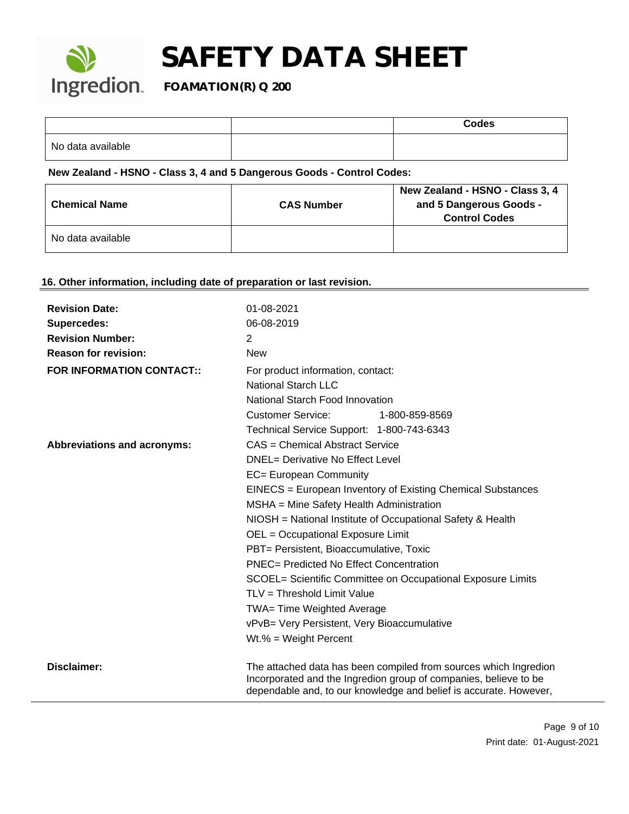

|                   | <b>Codes</b> |
|-------------------|--------------|
| No data available |              |

#### **New Zealand - HSNO - Class 3, 4 and 5 Dangerous Goods - Control Codes:**

| <b>Chemical Name</b> | <b>CAS Number</b> | New Zealand - HSNO - Class 3, 4<br>and 5 Dangerous Goods -<br><b>Control Codes</b> |
|----------------------|-------------------|------------------------------------------------------------------------------------|
| No data available    |                   |                                                                                    |

## **16. Other information, including date of preparation or last revision.**

| <b>Revision Date:</b><br>Supercedes:<br><b>Revision Number:</b><br><b>Reason for revision:</b><br><b>FOR INFORMATION CONTACT::</b> | 01-08-2021<br>06-08-2019<br>2<br><b>New</b><br>For product information, contact:<br>National Starch LLC<br>National Starch Food Innovation<br><b>Customer Service:</b><br>1-800-859-8569                                                                                                                                                                                                                                                                                                                                                                                                                                                                     |
|------------------------------------------------------------------------------------------------------------------------------------|--------------------------------------------------------------------------------------------------------------------------------------------------------------------------------------------------------------------------------------------------------------------------------------------------------------------------------------------------------------------------------------------------------------------------------------------------------------------------------------------------------------------------------------------------------------------------------------------------------------------------------------------------------------|
| Abbreviations and acronyms:                                                                                                        | Technical Service Support: 1-800-743-6343<br>CAS = Chemical Abstract Service<br>DNEL= Derivative No Effect Level<br>EC= European Community<br>EINECS = European Inventory of Existing Chemical Substances<br>MSHA = Mine Safety Health Administration<br>NIOSH = National Institute of Occupational Safety & Health<br>OEL = Occupational Exposure Limit<br>PBT= Persistent, Bioaccumulative, Toxic<br><b>PNEC= Predicted No Effect Concentration</b><br>SCOEL= Scientific Committee on Occupational Exposure Limits<br>TLV = Threshold Limit Value<br>TWA= Time Weighted Average<br>vPvB= Very Persistent, Very Bioaccumulative<br>$Wt.\% = Weight Percent$ |
| <b>Disclaimer:</b>                                                                                                                 | The attached data has been compiled from sources which Ingredion<br>Incorporated and the Ingredion group of companies, believe to be<br>dependable and, to our knowledge and belief is accurate. However,                                                                                                                                                                                                                                                                                                                                                                                                                                                    |